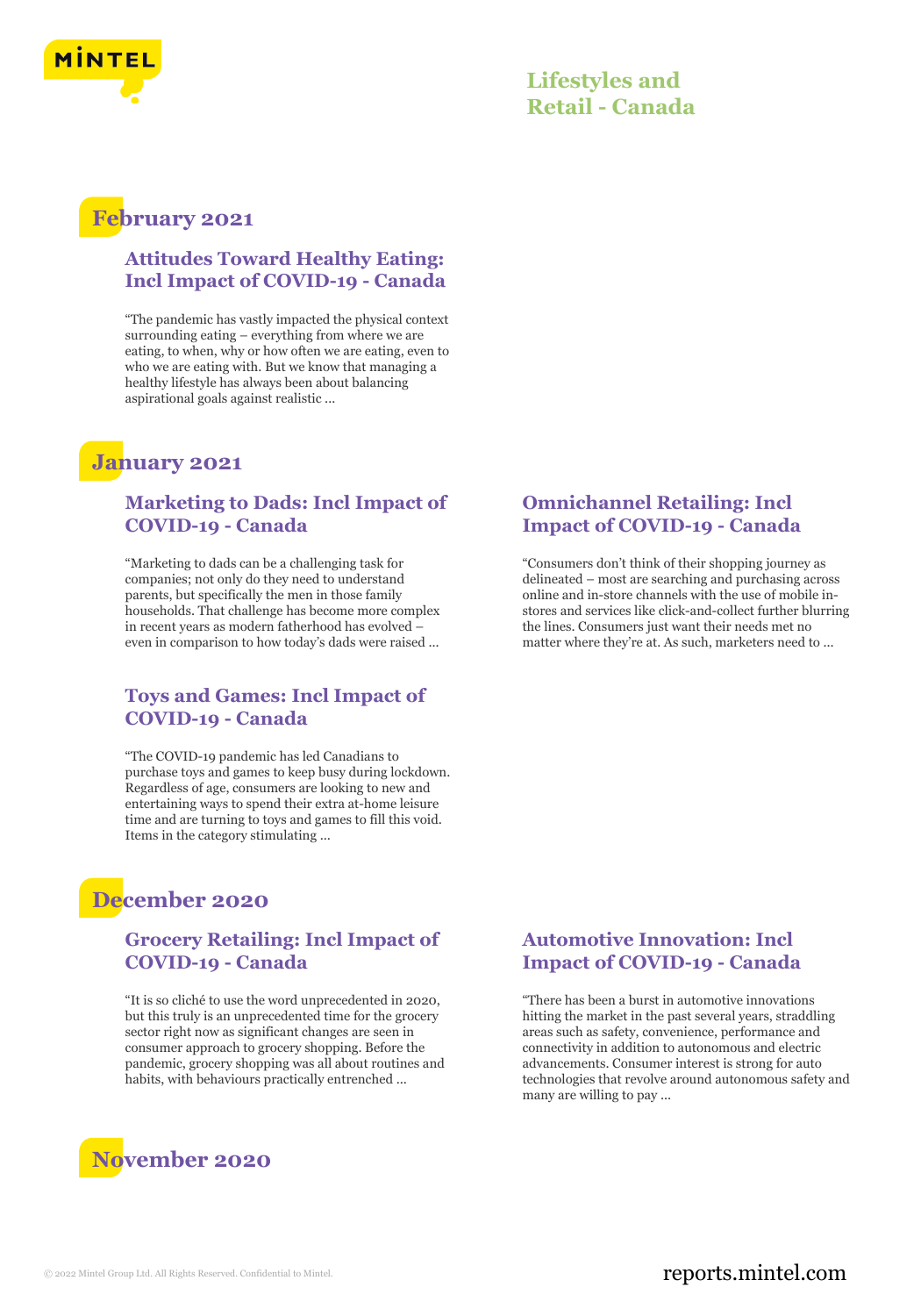

# **February 2021**

### **Attitudes Toward Healthy Eating: Incl Impact of COVID-19 - Canada**

"The pandemic has vastly impacted the physical context surrounding eating – everything from where we are eating, to when, why or how often we are eating, even to who we are eating with. But we know that managing a healthy lifestyle has always been about balancing aspirational goals against realistic ...

# **January 2021**

#### **Marketing to Dads: Incl Impact of COVID-19 - Canada**

"Marketing to dads can be a challenging task for companies; not only do they need to understand parents, but specifically the men in those family households. That challenge has become more complex in recent years as modern fatherhood has evolved – even in comparison to how today's dads were raised ...

### **Toys and Games: Incl Impact of COVID-19 - Canada**

"The COVID-19 pandemic has led Canadians to purchase toys and games to keep busy during lockdown. Regardless of age, consumers are looking to new and entertaining ways to spend their extra at-home leisure time and are turning to toys and games to fill this void. Items in the category stimulating ...

# **December 2020**

### **Grocery Retailing: Incl Impact of COVID-19 - Canada**

"It is so cliché to use the word unprecedented in 2020, but this truly is an unprecedented time for the grocery sector right now as significant changes are seen in consumer approach to grocery shopping. Before the pandemic, grocery shopping was all about routines and habits, with behaviours practically entrenched ...



### **Omnichannel Retailing: Incl Impact of COVID-19 - Canada**

"Consumers don't think of their shopping journey as delineated – most are searching and purchasing across online and in-store channels with the use of mobile instores and services like click-and-collect further blurring the lines. Consumers just want their needs met no matter where they're at. As such, marketers need to ...

### **Automotive Innovation: Incl Impact of COVID-19 - Canada**

"There has been a burst in automotive innovations hitting the market in the past several years, straddling areas such as safety, convenience, performance and connectivity in addition to autonomous and electric advancements. Consumer interest is strong for auto technologies that revolve around autonomous safety and many are willing to pay ...

### © 2022 Mintel Group Ltd. All Rights Reserved. Confidential to Mintel.  $\blacksquare$  reports.mintel.com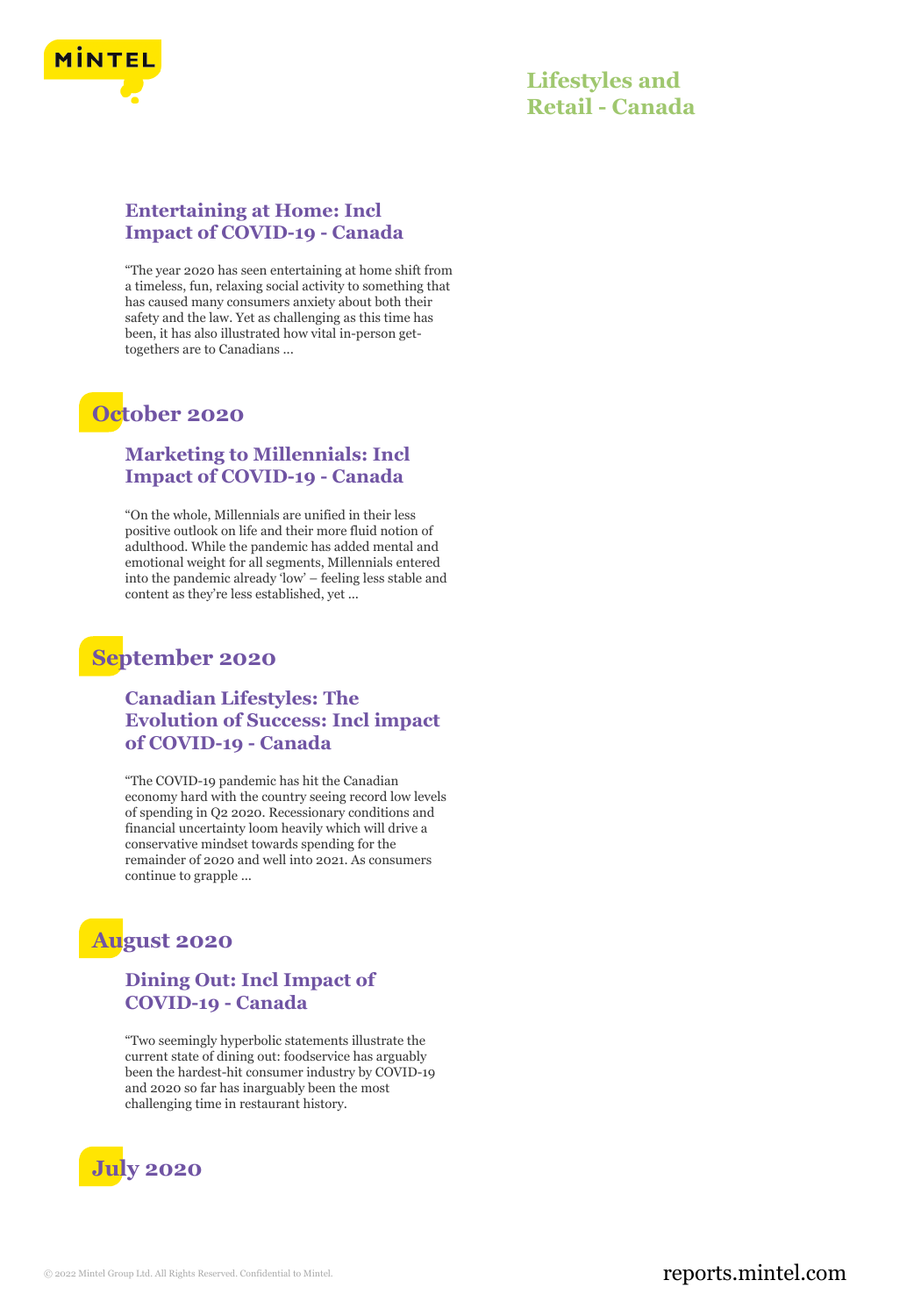

### **Entertaining at Home: Incl Impact of COVID-19 - Canada**

"The year 2020 has seen entertaining at home shift from a timeless, fun, relaxing social activity to something that has caused many consumers anxiety about both their safety and the law. Yet as challenging as this time has been, it has also illustrated how vital in-person gettogethers are to Canadians ...

# **October 2020**

### **Marketing to Millennials: Incl Impact of COVID-19 - Canada**

"On the whole, Millennials are unified in their less positive outlook on life and their more fluid notion of adulthood. While the pandemic has added mental and emotional weight for all segments, Millennials entered into the pandemic already 'low' – feeling less stable and content as they're less established, yet ...

# **September 2020**

### **Canadian Lifestyles: The Evolution of Success: Incl impact of COVID-19 - Canada**

"The COVID-19 pandemic has hit the Canadian economy hard with the country seeing record low levels of spending in Q2 2020. Recessionary conditions and financial uncertainty loom heavily which will drive a conservative mindset towards spending for the remainder of 2020 and well into 2021. As consumers continue to grapple ...

# **August 2020**

### **Dining Out: Incl Impact of COVID-19 - Canada**

"Two seemingly hyperbolic statements illustrate the current state of dining out: foodservice has arguably been the hardest-hit consumer industry by COVID-19 and 2020 so far has inarguably been the most challenging time in restaurant history.

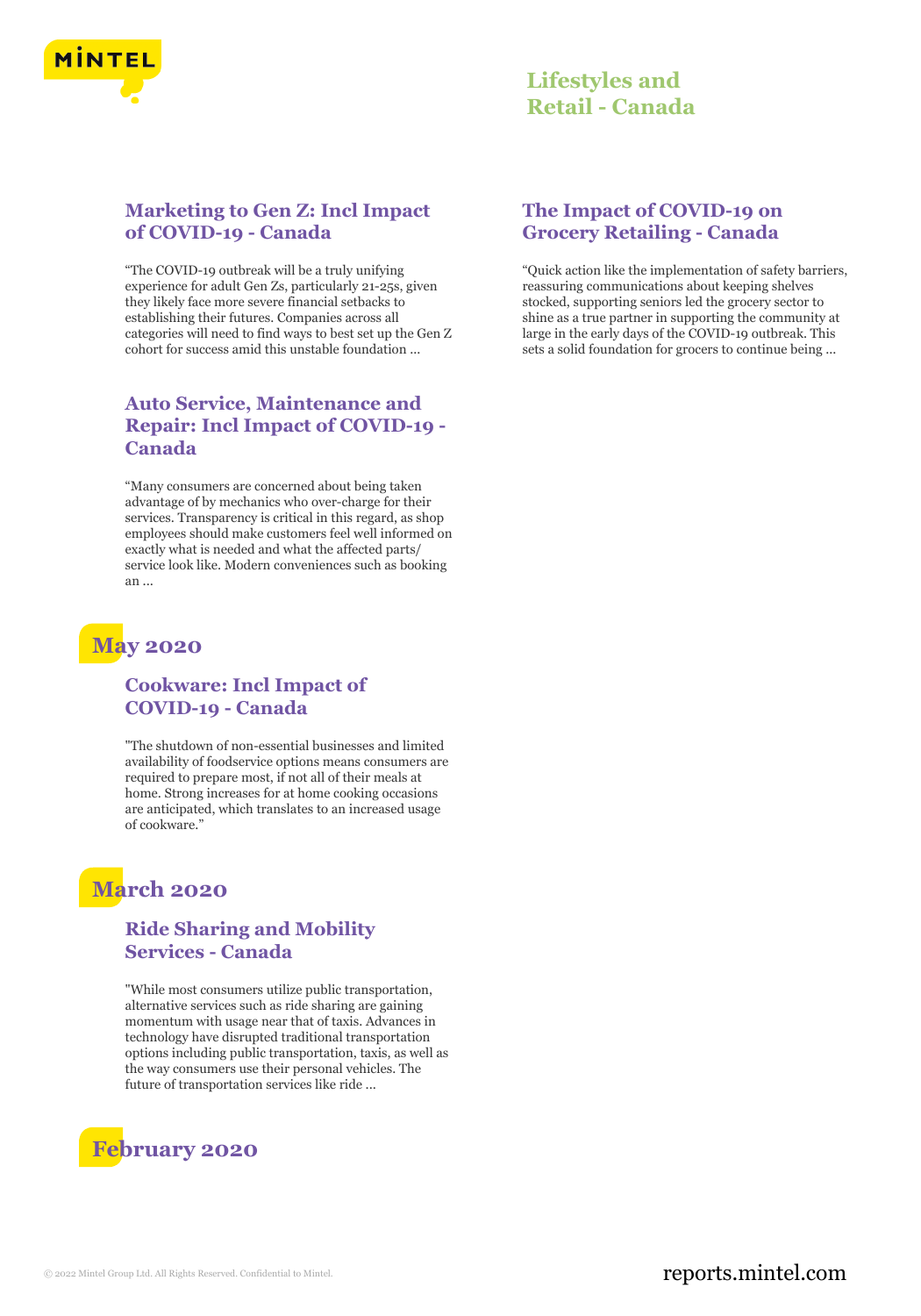

### **Marketing to Gen Z: Incl Impact of COVID-19 - Canada**

"The COVID-19 outbreak will be a truly unifying experience for adult Gen Zs, particularly 21-25s, given they likely face more severe financial setbacks to establishing their futures. Companies across all categories will need to find ways to best set up the Gen Z cohort for success amid this unstable foundation ...

### **Auto Service, Maintenance and Repair: Incl Impact of COVID-19 - Canada**

"Many consumers are concerned about being taken advantage of by mechanics who over-charge for their services. Transparency is critical in this regard, as shop employees should make customers feel well informed on exactly what is needed and what the affected parts/ service look like. Modern conveniences such as booking an ...

# **May 2020**

### **Cookware: Incl Impact of COVID-19 - Canada**

"The shutdown of non-essential businesses and limited availability of foodservice options means consumers are required to prepare most, if not all of their meals at home. Strong increases for at home cooking occasions are anticipated, which translates to an increased usage of cookware."

# **March 2020**

### **Ride Sharing and Mobility Services - Canada**

"While most consumers utilize public transportation, alternative services such as ride sharing are gaining momentum with usage near that of taxis. Advances in technology have disrupted traditional transportation options including public transportation, taxis, as well as the way consumers use their personal vehicles. The future of transportation services like ride ...

# **February 2020**

### **The Impact of COVID-19 on Grocery Retailing - Canada**

"Quick action like the implementation of safety barriers, reassuring communications about keeping shelves stocked, supporting seniors led the grocery sector to shine as a true partner in supporting the community at large in the early days of the COVID-19 outbreak. This sets a solid foundation for grocers to continue being ...